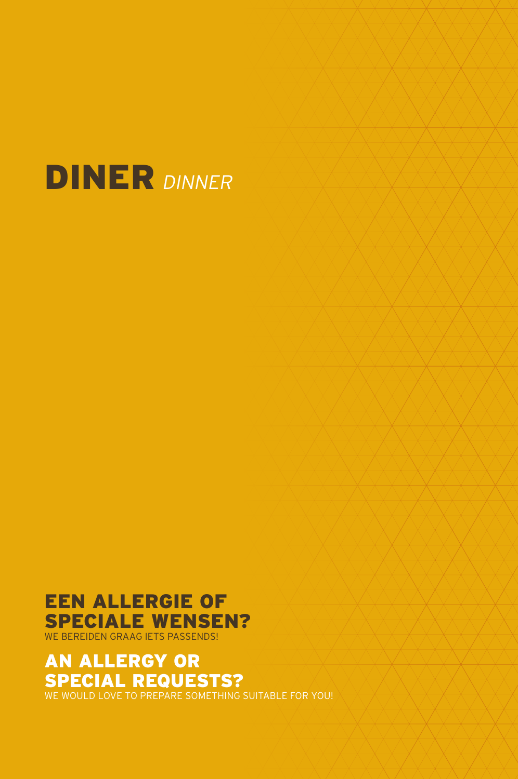

#### EEN ALLERGIE OF SPECIALE WENSEN? WE BEREIDEN GRAAG IETS PASSENDS!

AN ALLERGY OR SPECIAL REQUESTS?

WE WOULD LOVE TO PREPARE SOMETHING SUITABLE FOR YOU!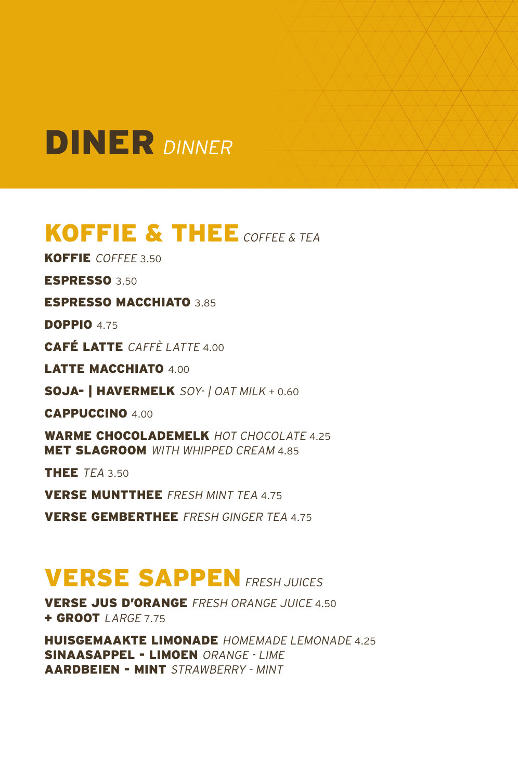### KOFFIE & THEE COFFEE & TEA

KOFFIE COFFEE 3.50

ESPRESSO 3.50

#### ESPRESSO MACCHIATO 3.85

**DOPPIO 4.75** 

CAFÉ LATTE CAFFÈ LATTE 4.00

LATTE MACCHIATO 4.00

SOJA- | HAVERMELK SOY- | OAT MILK + 0.60

CAPPUCCINO 4.00

WARME CHOCOLADEMELK HOT CHOCOLATE 4.25 **MET SLAGROOM** WITH WHIPPED CREAM 4.85

THEE TFA 3.50

VERSE MUNTTHEE FRESH MINT TEA 4.75

VERSE GEMBERTHEE FRESH GINGER TEA 4.75

### **VERSE SAPPEN FRESH JUICES**

VERSE JUS D'ORANGE FRESH ORANGE JUICE 4.50 + GROOT *LARGE 7.75* 

HUISGEMAAKTE LIMONADE HOMEMADE LEMONADE 4.25 SINAASAPPEL - LIMOEN ORANGE - LIME AARDBEIEN - MINT STRAWBERRY - MINT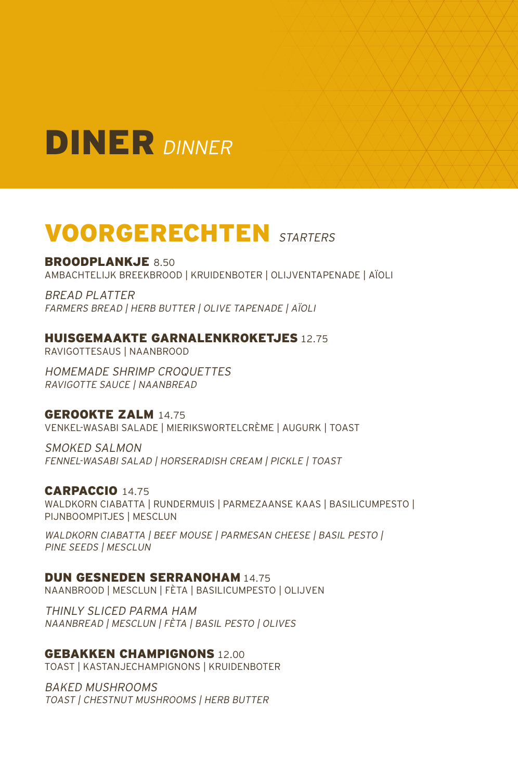

### VOORGERECHTEN STARTERS

#### BROODPLANKJE 8.50

AMBACHTELIJK BREEKBROOD | KRUIDENBOTER | OLIJVENTAPENADE | AÏOLI

BREAD PLATTER FARMERS BREAD | HERB BUTTER | OLIVE TAPENADE | AÏOLI

#### HUISGEMAAKTE GARNALENKROKETJES 12.75

RAVIGOTTESAUS | NAANBROOD

HOMEMADE SHRIMP CROQUETTES RAVIGOTTE SAUCE | NAANBREAD

#### GEROOKTE ZALM 14.75

VENKEL-WASABI SALADE | MIERIKSWORTEL CRÈME | AUGURK | TOAST

SMOKED SALMON FENNEL-WASABI SALAD | HORSERADISH CREAM | PICKLE | TOAST

CARPACCIO 14.75 WALDKORN CIABATTA | RUNDERMUIS | PARMEZAANSE KAAS | BASILICUMPESTO | PIJNBOOMPITJES | MESCLUN

WALDKORN CIABATTA | BEEF MOUSE | PARMESAN CHEESE | BASIL PESTO | PINE SEEDS | MESCLUN

#### DUN GESNEDEN SERRANOHAM 14.75

NAANBROOD | MESCLUN | FÈTA | BASILICUMPESTO | OLIJVEN

THINLY SLICED PARMA HAM NAANBREAD | MESCLUN | FÈTA | BASIL PESTO | OLIVES

GEBAKKEN CHAMPIGNONS 12.00

TOAST | KASTANJECHAMPIGNONS | KRUIDENBOTER

BAKED MUSHROOMS TOAST | CHESTNUT MUSHROOMS | HERB BUTTER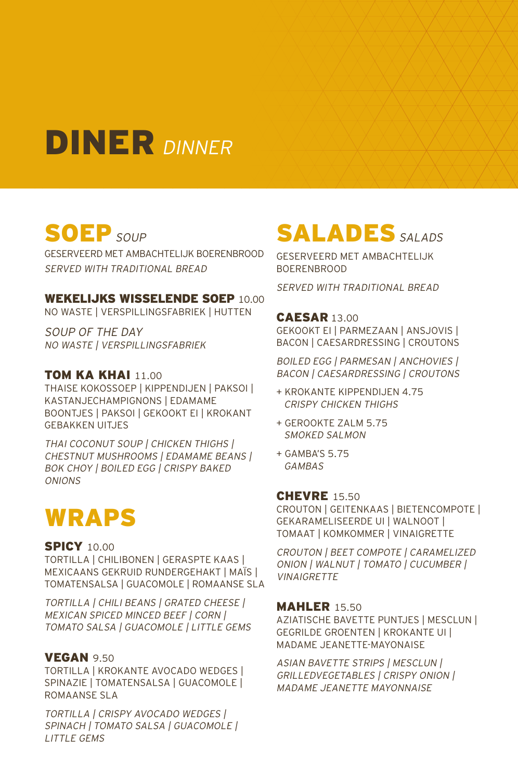## SOEP SOUP

GESERVEERD MET AMBACHTELIJK BOERENBROOD SERVED WITH TRADITIONAL BREAD

#### WEKELIJKS WISSELENDE SOEP 10.00

NO WASTE | VERSPILLINGSFABRIEK | HUTTEN

SOUP OF THE DAY NO WASTE | VERSPILLINGSFABRIEK

#### **TOM KA KHAI 11.00**

THAISE KOKOSSOEP | KIPPENDIJEN | PAKSOI | KASTANJECHAMPIGNONS | EDAMAME BOONTJES | PAKSOI | GEKOOKT EI | KROKANT GEBAKKEN UITJES

THAI COCONUT SOUP | CHICKEN THIGHS | CHESTNUT MUSHROOMS | EDAMAME BEANS | BOK CHOY | BOILED EGG | CRISPY BAKED **ONIONS** 

### WRAPS

#### **SPICY 10.00**

TORTILLA | CHILIBONEN | GERASPTE KAAS | MEXICAANS GEKRUID RUNDERGEHAKT | MAÏS | TOMATENSALSA | GUACOMOLE | ROMAANSE SLA

TORTILLA | CHILI BEANS | GRATED CHEESE | MEXICAN SPICED MINCED BEEF | CORN | TOMATO SALSA | GUACOMOLE | LITTLE GEMS

#### **VEGAN 9.50**

TORTILLA | KROKANTE AVOCADO WEDGES | SPINAZIE | TOMATENSALSA | GUACOMOLE | ROMAANSE SLA

TORTILLA | CRISPY AVOCADO WEDGES | SPINACH | TOMATO SALSA | GUACOMOLE | **LITTLE GEMS** 

### SALADES SALADS

GESERVEERD MET AMBACHTELIJK BOERENBROOD

SERVED WITH TRADITIONAL BREAD

#### CAESAR 13.00

GEKOOKT EI | PARMEZAAN | ANSJOVIS | BACON | CAESARDRESSING | CROUTONS

BOILED EGG | PARMESAN | ANCHOVIES | BACON | CAESARDRESSING | CROUTONS

- + KROKANTE KIPPENDIJEN 4.75 CRISPY CHICKEN THIGHS
- + GEROOKTE ZALM 5.75 SMOKED SALMON
- + GAMBA'S 5.75 GAMBAS

#### **CHEVRE** 15.50

CROUTON | GEITENKAAS | BIETENCOMPOTE | GEKARAMELISEERDE UI | WALNOOT | TOMAAT | KOMKOMMER | VINAIGRETTE

CROUTON | BEET COMPOTE | CARAMELIZED ONION | WALNUT | TOMATO | CUCUMBER | **VINAIGRETTE** 

#### **MAHLER 15.50**

AZIATISCHE BAVETTE PUNTJES | MESCLUN | GEGRILDE GROENTEN | KROKANTE UI | MADAME JEANETTE-MAYONAISE

ASIAN BAVETTE STRIPS | MESCLUN | GRILLEDVEGETABLES | CRISPY ONION | MADAME JEANETTE MAYONNAISE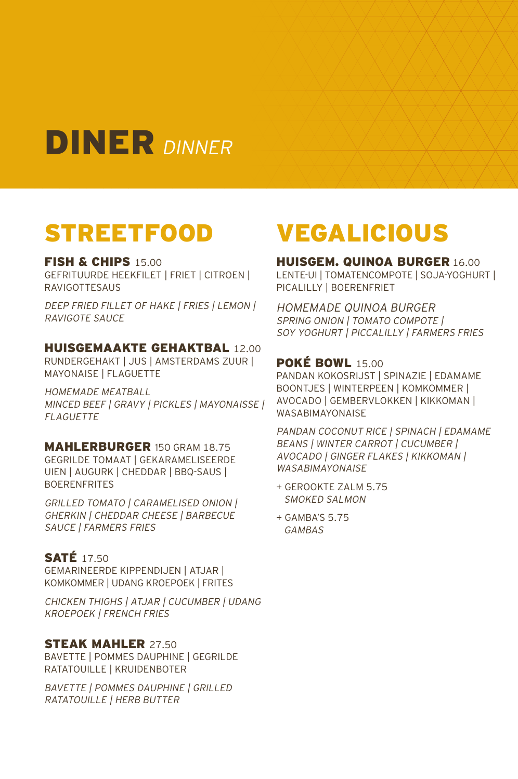### STREETFOOD

#### FISH & CHIPS 15.00

GEFRITUURDE HEEKFILET | FRIET | CITROEN | RAVIGOTTESAUS

DEEP FRIED FILLET OF HAKE | FRIES | LEMON | RAVIGOTE SAUCE

#### HUISGEMAAKTE GEHAKTBAL 12.00

RUNDERGEHAKT | JUS | AMSTERDAMS ZUUR | MAYONAISE | FLAGUETTE

HOMEMADE MEATBALL MINCED BEEF | GRAVY | PICKLES | MAYONAISSE | FLAGUETTE

#### MAHLERBURGER 150 GRAM 18.75 GEGRILDE TOMAAT | GEKARAMELISEERDE

UIEN | AUGURK | CHEDDAR | BBQ-SAUS | BOERENFRITES

GRILLED TOMATO | CARAMELISED ONION | GHERKIN | CHEDDAR CHEESE | BARBECUE SAUCE | FARMERS FRIES

#### **SATÉ** 17.50

GEMARINEERDE KIPPENDIJEN | ATJAR | KOMKOMMER | UDANG KROEPOEK | FRITES

CHICKEN THIGHS | ATJAR | CUCUMBER | UDANG KROEPOEK | FRENCH FRIES

#### **STEAK MAHLER 27.50**

BAVETTE | POMMES DAUPHINE | GEGRILDE RATATOUILLE | KRUIDENBOTER

BAVETTE | POMMES DAUPHINE | GRILLED RATATOUILLE | HERB BUTTER

## VEGALICIOUS

HUISGEM. QUINOA BURGER 16.00 LENTE-UI | TOMATENCOMPOTE | SOJA-YOGHURT | PICALILLY | BOERENFRIET

HOMEMADE QUINOA BURGER SPRING ONION | TOMATO COMPOTE | SOY YOGHURT | PICCALILLY | FARMERS FRIES

#### POKÉ BOWL 15.00

PANDAN KOKOSRIJST | SPINAZIE | EDAMAME BOONTJES | WINTERPEEN | KOMKOMMER | AVOCADO | GEMBERVLOKKEN | KIKKOMAN | WASABIMAYONAISE

PANDAN COCONUT RICE | SPINACH | EDAMAME BEANS | WINTER CARROT | CUCUMBER | AVOCADO | GINGER FLAKES | KIKKOMAN | **WASABIMAYONAISE** 

- + GEROOKTE ZALM 5.75 SMOKED SALMON
- + GAMBA'S 5.75 GAMBAS